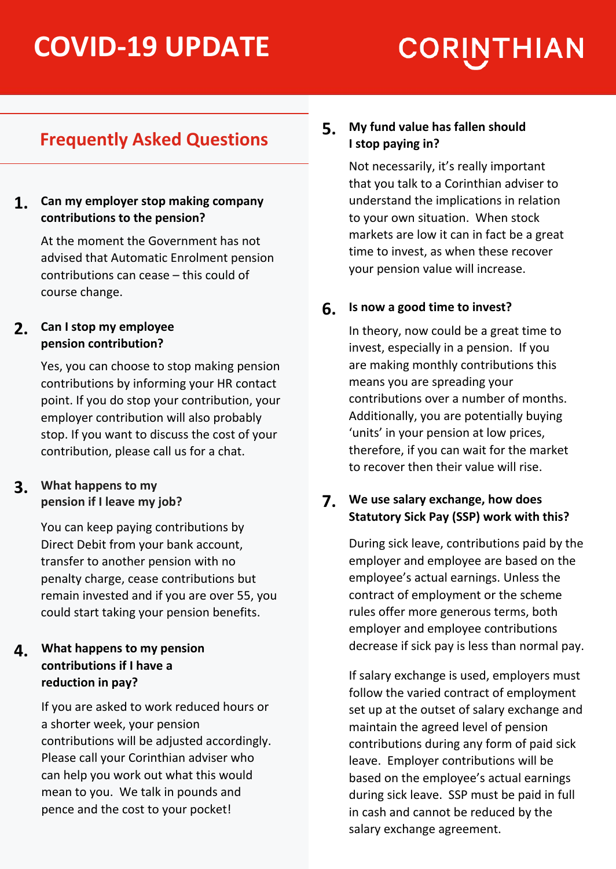# **COVID-19 UPDATE**

# **CORINTHIAN**

## **Frequently Asked Questions**

#### **Can my employer stop making company 1. contributions to the pension?**

At the moment the Government has not advised that Automatic Enrolment pension contributions can cease – this could of course change.

#### **Can I stop my employee 2. pension contribution?**

Yes, you can choose to stop making pension contributions by informing your HR contact point. If you do stop your contribution, your employer contribution will also probably stop. If you want to discuss the cost of your contribution, please call us for a chat.

#### **What happens to my 3. pension if I leave my job?**

You can keep paying contributions by Direct Debit from your bank account, transfer to another pension with no penalty charge, cease contributions but remain invested and if you are over 55, you could start taking your pension benefits.

#### **What happens to my pension 4. contributions if I have a reduction in pay?**

If you are asked to work reduced hours or a shorter week, your pension contributions will be adjusted accordingly. Please call your Corinthian adviser who can help you work out what this would mean to you. We talk in pounds and pence and the cost to your pocket!

#### **My fund value has fallen should I stop paying in? 5.**

Not necessarily, it's really important that you talk to a Corinthian adviser to understand the implications in relation to your own situation. When stock markets are low it can in fact be a great time to invest, as when these recover your pension value will increase.

#### **Is now a good time to invest? 6.**

In theory, now could be a great time to invest, especially in a pension. If you are making monthly contributions this means you are spreading your contributions over a number of months. Additionally, you are potentially buying 'units' in your pension at low prices, therefore, if you can wait for the market to recover then their value will rise.

#### **We use salary exchange, how does 7. Statutory Sick Pay (SSP) work with this?**

During sick leave, contributions paid by the employer and employee are based on the employee's actual earnings. Unless the contract of employment or the scheme rules offer more generous terms, both employer and employee contributions decrease if sick pay is less than normal pay.

If salary exchange is used, employers must follow the varied contract of employment set up at the outset of salary exchange and maintain the agreed level of pension contributions during any form of paid sick leave. Employer contributions will be based on the employee's actual earnings during sick leave. SSP must be paid in full in cash and cannot be reduced by the salary exchange agreement.